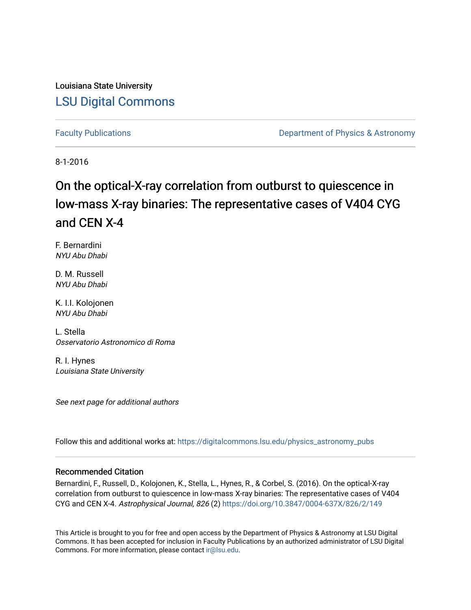Louisiana State University [LSU Digital Commons](https://digitalcommons.lsu.edu/)

[Faculty Publications](https://digitalcommons.lsu.edu/physics_astronomy_pubs) **Exercise 2 and Table 2 and Table 2 and Table 2 and Table 2 and Table 2 and Table 2 and Table 2 and Table 2 and Table 2 and Table 2 and Table 2 and Table 2 and Table 2 and Table 2 and Table 2 and Table** 

8-1-2016

# On the optical-X-ray correlation from outburst to quiescence in low-mass X-ray binaries: The representative cases of V404 CYG and CEN X-4

F. Bernardini NYU Abu Dhabi

D. M. Russell NYU Abu Dhabi

K. I.I. Kolojonen NYU Abu Dhabi

L. Stella Osservatorio Astronomico di Roma

R. I. Hynes Louisiana State University

See next page for additional authors

Follow this and additional works at: [https://digitalcommons.lsu.edu/physics\\_astronomy\\_pubs](https://digitalcommons.lsu.edu/physics_astronomy_pubs?utm_source=digitalcommons.lsu.edu%2Fphysics_astronomy_pubs%2F2572&utm_medium=PDF&utm_campaign=PDFCoverPages) 

# Recommended Citation

Bernardini, F., Russell, D., Kolojonen, K., Stella, L., Hynes, R., & Corbel, S. (2016). On the optical-X-ray correlation from outburst to quiescence in low-mass X-ray binaries: The representative cases of V404 CYG and CEN X-4. Astrophysical Journal, 826 (2)<https://doi.org/10.3847/0004-637X/826/2/149>

This Article is brought to you for free and open access by the Department of Physics & Astronomy at LSU Digital Commons. It has been accepted for inclusion in Faculty Publications by an authorized administrator of LSU Digital Commons. For more information, please contact [ir@lsu.edu](mailto:ir@lsu.edu).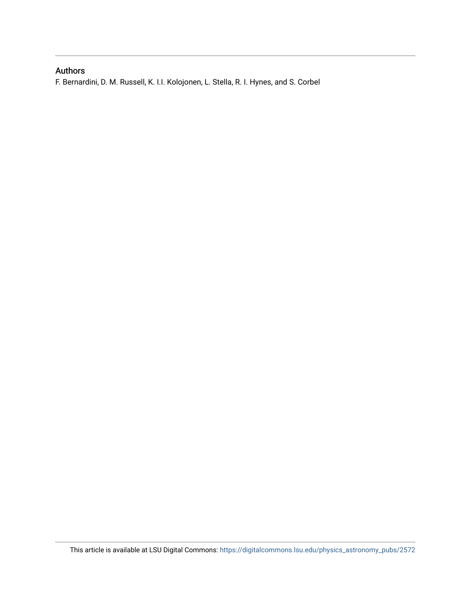# Authors

F. Bernardini, D. M. Russell, K. I.I. Kolojonen, L. Stella, R. I. Hynes, and S. Corbel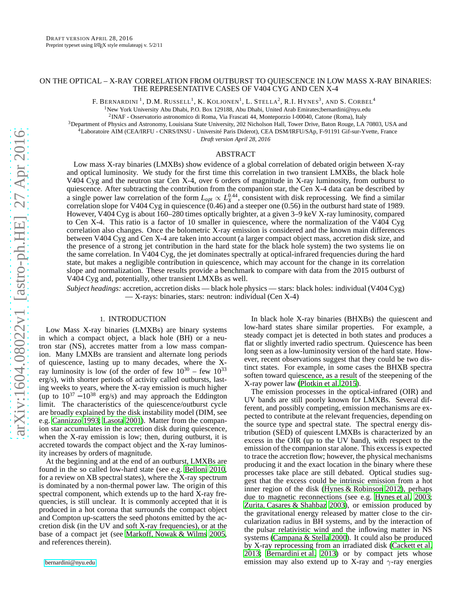# ON THE OPTICAL – X-RAY CORRELATION FROM OUTBURST TO QUIESCENCE IN LOW MASS X-RAY BINARIES: THE REPRESENTATIVE CASES OF V404 CYG AND CEN X-4

F. Bernardini  $^1$ , D.M. Russell  $^1$ , K. Koljonen $^1$ , L. Stella $^2$ , R.I. Hynes $^3$ , and S. Corbel  $^4$ <sup>1</sup>New York University Abu Dhabi, P.O. Box 129188, Abu Dhabi, United Arab Emirates;bernardini@nyu.edu

<sup>2</sup>INAF - Osservatorio astronomico di Roma, Via Frascati 44, Monteporzio I-00040, Catone (Roma), Italy

<sup>3</sup>Department of Physics and Astronomy, Louisiana State University, 202 Nicholson Hall, Tower Drive, Baton Rouge, LA 70803, USA and

<sup>4</sup>Laboratoire AIM (CEA/IRFU - CNRS/INSU - Université Paris Diderot), CEA DSM/IRFU/SAp, F-91191 Gif-sur-Yvette, France

*Draft version April 28, 2016*

#### ABSTRACT

Low mass X-ray binaries (LMXBs) show evidence of a global correlation of debated origin between X-ray and optical luminosity. We study for the first time this correlation in two transient LMXBs, the black hole V404 Cyg and the neutron star Cen X-4, over 6 orders of magnitude in X-ray luminosity, from outburst to quiescence. After subtracting the contribution from the companion star, the Cen X-4 data can be described by a single power law correlation of the form  $L_{opt} \propto L_X^{0.44}$ , consistent with disk reprocessing. We find a similar correlation slope for V404 Cyg in quiescence (0.46) and a steeper one (0.56) in the outburst hard state of 1989. However, V404 Cyg is about 160–280 times optically brighter, at a given 3–9 keV X-ray luminosity, compared to Cen X-4. This ratio is a factor of 10 smaller in quiescence, where the normalization of the V404 Cyg correlation also changes. Once the bolometric X-ray emission is considered and the known main differences between V404 Cyg and Cen X-4 are taken into account (a larger compact object mass, accretion disk size, and the presence of a strong jet contribution in the hard state for the black hole system) the two systems lie on the same correlation. In V404 Cyg, the jet dominates spectrally at optical-infrared frequencies during the hard state, but makes a negligible contribution in quiescence, which may account for the change in its correlation slope and normalization. These results provide a benchmark to compare with data from the 2015 outburst of V404 Cyg and, potentially, other transient LMXBs as well.

*Subject headings:* accretion, accretion disks — black hole physics — stars: black holes: individual (V404 Cyg) — X-rays: binaries, stars: neutron: individual (Cen X-4)

# 1. INTRODUCTION

Low Mass X-ray binaries (LMXBs) are binary systems in which a compact object, a black hole (BH) or a neutron star (NS), accretes matter from a low mass companion. Many LMXBs are transient and alternate long periods of quiescence, lasting up to many decades, where the Xray luminosity is low (of the order of few  $10^{30}$  – few  $10^{33}$ erg/s), with shorter periods of activity called outbursts, lasting weeks to years, where the X-ray emission is much higher (up to  $10^{37} - 10^{38}$  erg/s) and may approach the Eddington limit. The characteristics of the quiescence/outburst cycle are broadly explained by the disk instability model (DIM, see e.g. [Cannizzo 1993;](#page-13-0) [Lasota 2001\)](#page-13-1). Matter from the companion star accumulates in the accretion disk during quiescence, when the X-ray emission is low; then, during outburst, it is accreted towards the compact object and the X-ray luminosity increases by orders of magnitude.

At the beginning and at the end of an outburst, LMXBs are found in the so called low-hard state (see e.g. [Belloni 2010,](#page-13-2) for a review on XB spectral states), where the X-ray spectrum is dominated by a non-thermal power law. The origin of this spectral component, which extends up to the hard X-ray frequencies, is still unclear. It is commonly accepted that it is produced in a hot corona that surrounds the compact object and Compton up-scatters the seed photons emitted by the accretion disk (in the UV and soft X-ray frequencies), or at the base of a compact jet (see [Markoff, Nowak & Wilms 2005,](#page-13-3) and references therein).

[bernardini@nyu.edu](mailto:bernardini@nyu.edu)

In black hole X-ray binaries (BHXBs) the quiescent and low-hard states share similar properties. For example, a steady compact jet is detected in both states and produces a flat or slightly inverted radio spectrum. Quiescence has been long seen as a low-luminosity version of the hard state. However, recent observations suggest that they could be two distinct states. For example, in some cases the BHXB spectra soften toward quiescence, as a result of the steepening of the X-ray power law [\(Plotkin et al. 2015\)](#page-13-4).

The emission processes in the optical-infrared (OIR) and UV bands are still poorly known for LMXBs. Several different, and possibly competing, emission mechanisms are expected to contribute at the relevant frequencies, depending on the source type and spectral state. The spectral energy distribution (SED) of quiescent LMXBs is characterized by an excess in the OIR (up to the UV band), with respect to the emission of the companion star alone. This excess is expected to trace the accretion flow; however, the physical mechanisms producing it and the exact location in the binary where these processes take place are still debated. Optical studies suggest that the excess could be intrinsic emission from a hot inner region of the disk [\(Hynes & Robinson 2012\)](#page-13-5), perhaps due to magnetic reconnections (see e.g. [Hynes et al. 2003](#page-13-6); [Zurita, Casares & Shahbaz 2003\)](#page-13-7), or emission produced by the gravitational energy released by matter close to the circularization radius in BH systems, and by the interaction of the pulsar relativistic wind and the inflowing matter in NS systems [\(Campana & Stella 2000\)](#page-13-8). It could also be produced by X-ray reprocessing from an irradiated disk [\(Cackett et al.](#page-13-9) [2013;](#page-13-9) [Bernardini et al. 2013\)](#page-13-10) or by compact jets whose emission may also extend up to X-ray and  $\gamma$ -ray energies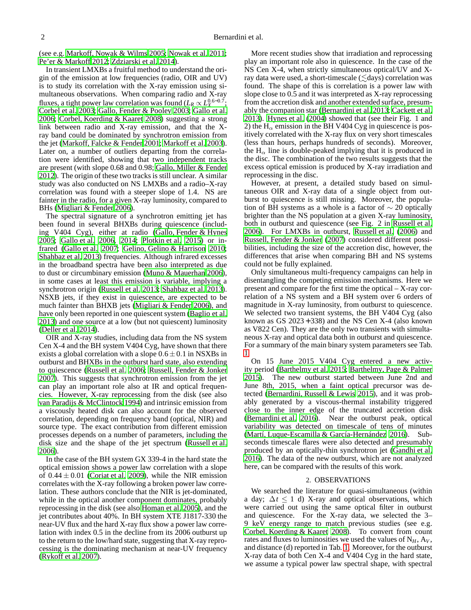(see e.g. [Markoff, Nowak & Wilms 2005](#page-13-3); [Nowak et al. 2011;](#page-13-11) [Pe'er & Markoff 2012;](#page-13-12) [Zdziarski et al. 2014\)](#page-13-13).

In transient LMXBs a fruitful method to understand the origin of the emission at low frequencies (radio, OIR and UV) is to study its correlation with the X-ray emission using simultaneous observations. When comparing radio and X-ray fluxes, a tight power law correlation was found ( $L_R \propto L_X^{0.6-0.7}$ ; [Corbel et al. 2003;](#page-13-14) [Gallo, Fender & Pooley 2003;](#page-13-15) [Gallo et al.](#page-13-16) [2006;](#page-13-16) [Corbel, Koerding & Kaaret 2008](#page-13-17)) suggesting a strong link between radio and X-ray emission, and that the Xray band could be dominated by synchrotron emission from the jet [\(Markoff, Falcke & Fender 2001;](#page-13-18) [Markoff et al. 2003\)](#page-13-19). Later on, a number of outliers departing from the correlation were identified, showing that two independent tracks are present (with slope 0.68 and 0.98; [Gallo, Miller & Fender](#page-13-20) [2012\)](#page-13-20). The origin of these two tracks is still unclear. A similar study was also conducted on NS LMXBs and a radio–X-ray correlation was found with a steeper slope of 1.4. NS are fainter in the radio, for a given X-ray luminosity, compared to BHs [\(Migliari & Fender 2006\)](#page-13-21).

The spectral signature of a synchrotron emitting jet has been found in several BHXBs during quiescence (including V404 Cyg), either at radio [\(Gallo, Fender & Hynes](#page-13-22) [2005;](#page-13-22) [Gallo et al. 2006,](#page-13-16) [2014;](#page-13-23) [Plotkin et al. 2015](#page-13-4)) or infrared [\(Gallo et al. 2007;](#page-13-24) [Gelino, Gelino & Harrison 2010;](#page-13-25) [Shahbaz et al. 2013\)](#page-13-26) frequencies. Although infrared excesses in the broadband spectra have been also interpreted as due to dust or circumbinary emission [\(Muno & Mauerhan 2006\)](#page-13-27), in some cases at least this emission is variable, implying a synchrotron origin [\(Russell et al. 2013](#page-13-28); [Shahbaz et al. 2013\)](#page-13-26). NSXB jets, if they exist in quiescence, are expected to be much fainter than BHXB jets [\(Migliari & Fender 2006\)](#page-13-21), and have only been reported in one quiescent system [\(Baglio et al.](#page-12-0) [2013\)](#page-12-0) and one source at a low (but not quiescent) luminosity [\(Deller et al. 2014](#page-13-29)).

OIR and X-ray studies, including data from the NS system Cen X-4 and the BH system V404 Cyg, have shown that there exists a global correlation with a slope  $0.6 \pm 0.1$  in NSXBs in outburst and BHXBs in the outburst hard state, also extending to quiescence [\(Russell et al. 2006;](#page-13-30) [Russell, Fender & Jonker](#page-13-31) [2007\)](#page-13-31). This suggests that synchrotron emission from the jet can play an important role also at IR and optical frequencies. However, X-ray reprocessing from the disk (see also [van Paradijs & McClintock 1994\)](#page-13-32) and intrinsic emission from a viscously heated disk can also account for the observed correlation, depending on frequency band (optical, NIR) and source type. The exact contribution from different emission processes depends on a number of parameters, including the disk size and the shape of the jet spectrum [\(Russell et al.](#page-13-30) [2006\)](#page-13-30).

In the case of the BH system GX 339-4 in the hard state the optical emission shows a power law correlation with a slope of  $0.44 \pm 0.01$  [\(Coriat et al. 2009](#page-13-33)), while the NIR emission correlates with the X-ray following a broken power law correlation. These authors conclude that the NIR is jet-dominated, while in the optical another component dominates, probably reprocessing in the disk (see also [Homan et al. 2005\)](#page-13-34), and the jet contributes about 40%. In BH system XTE J1817-330 the near-UV flux and the hard X-ray flux show a power law correlation with index 0.5 in the decline from its 2006 outburst up to the return to the low/hard state, suggesting that X-ray reprocessing is the dominating mechanism at near-UV frequency [\(Rykoff et al. 2007](#page-13-35)).

More recent studies show that irradiation and reprocessing play an important role also in quiescence. In the case of the NS Cen X-4, when strictly simultaneous optical/UV and Xray data were used, a short-timescale  $(\leq_d s)$  correlation was found. The shape of this is correlation is a power law with slope close to 0.5 and it was interpreted as X-ray reprocessing from the accretion disk and another extended surface, presumably the companion star [\(Bernardini et al. 2013;](#page-13-10) [Cackett et al.](#page-13-9) [2013\)](#page-13-9). [Hynes et al.](#page-13-36) [\(2004\)](#page-13-36) showed that (see their Fig. 1 and 2) the  $H_{\alpha}$  emission in the BH V404 Cyg in quiescence is positively correlated with the X-ray flux on very short timescales (less than hours, perhaps hundreds of seconds). Moreover, the  $H_{\alpha}$  line is double-peaked implying that it is produced in the disc. The combination of the two results suggests that the excess optical emission is produced by X-ray irradiation and reprocessing in the disc.

However, at present, a detailed study based on simultaneous OIR and X-ray data of a single object from outburst to quiescence is still missing. Moreover, the population of BH systems as a whole is a factor of  $\sim$  20 optically brighter than the NS population at a given X-ray luminosity, both in outburst and quiescence (see Fig. 2 in [Russell et al.](#page-13-30) [2006\)](#page-13-30). For LMXBs in outburst, [Russell et al.](#page-13-30) [\(2006\)](#page-13-30) and [Russell, Fender & Jonker \(2007\)](#page-13-31) considered different possibilities, including the size of the accretion disc, however, the differences that arise when comparing BH and NS systems could not be fully explained.

Only simultaneous multi-frequency campaigns can help in disentangling the competing emission mechanisms. Here we present and compare for the first time the optical – X-ray correlation of a NS system and a BH system over 6 orders of magnitude in X-ray luminosity, from outburst to quiescence. We selected two transient systems, the BH V404 Cyg (also known as GS  $2023 + 338$ ) and the NS Cen X-4 (also known as V822 Cen). They are the only two transients with simultaneous X-ray and optical data both in outburst and quiescence. For a summary of the main binary system parameters see Tab. [1.](#page-4-0)

On 15 June 2015 V404 Cyg entered a new activity period [\(Barthelmy et al. 2015;](#page-13-37) [Barthelmy, Page & Palmer](#page-13-38) [2015\)](#page-13-38). The new outburst started between June 2nd and June 8th, 2015, when a faint optical precursor was detected [\(Bernardini, Russell & Lewis 2015\)](#page-13-39), and it was probably generated by a viscous-thermal instability triggered close to the inner edge of the truncated accretion disk [\(Bernardini et al. 2016\)](#page-13-40). Near the outburst peak, optical variability was detected on timescale of tens of minutes [\(Martí, Luque-Escamilla & García-Hernández 2016\)](#page-13-41). Subseconds timescale flares were also detected and presumably produced by an optically-thin synchrotron jet [\(Gandhi et al.](#page-13-42) [2016\)](#page-13-42). The data of the new outburst, which are not analyzed here, can be compared with the results of this work.

# 2. OBSERVATIONS

We searched the literature for quasi-simultaneous (within a day;  $\Delta t \leq 1$  d) X-ray and optical observations, which were carried out using the same optical filter in outburst and quiescence. For the X-ray data, we selected the 3– 9 keV energy range to match previous studies (see e.g. [Corbel, Koerding & Kaaret 2008\)](#page-13-17). To convert from count rates and fluxes to luminosities we used the values of  $N_H$ ,  $A_V$ , and distance (d) reported in Tab. [1.](#page-4-0) Moreover, for the outburst X-ray data of both Cen X-4 and V404 Cyg in the hard state, we assume a typical power law spectral shape, with spectral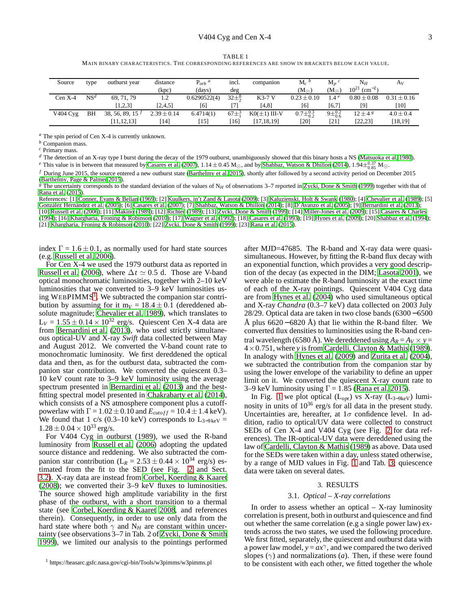MAIN BINARY CHARACTERISTICS. THE CORRESPONDING REFERENCES ARE SHOW IN BRACKETS BELOW EACH VALUE.

<span id="page-4-0"></span>

| Source     | type            | outburst year                | distance        | $P_{orb}$ <sup>a</sup> | incl.              | companion         | $\mathrm{M}_c{}^b$     | $\mathbf{M}_n$ <sup>c</sup> | $\mathrm{N}_H$                | Av            |
|------------|-----------------|------------------------------|-----------------|------------------------|--------------------|-------------------|------------------------|-----------------------------|-------------------------------|---------------|
|            |                 |                              | (kpc)           | (days)                 | deg                |                   | $(\mathrm{M}_{\odot})$ | $(M_{\odot})$               | $10^{21}$ (cm <sup>-2</sup> ) |               |
| $Cen X-4$  | NS <sup>d</sup> | 69.71.79                     | 1.2             | 0.6290522(4)           | $32\pm\frac{8}{2}$ | $K3-7$ V          | $0.23 + 0.10$          | 1.4 $^e$                    | $0.80 \pm 0.08$               | $0.31 + 0.16$ |
|            |                 | [1,2,3]                      | [2,4,5]         | [6]                    |                    | [4, 8]            | [6]                    | [6,7]                       | [9]                           | [10]          |
| $V404$ Cyg | BH              | 38, 56, 89, 15 $\frac{f}{f}$ | $2.39 \pm 0.14$ | 6.4714(1)              | 67 <sup>13</sup>   | $K0(\pm 1)$ III-V | $0.7\pm_{0.2}^{0.3}$   | $9\pm^{0.2}_{0.6}$          | $12 \pm 48$                   | $4.0 \pm 0.4$ |
|            |                 | [11, 12, 13]                 | [14]            | 151                    | [16]               | [17,18,19]        | [20]                   | [21]                        | [22, 23]                      | [18, 19]      |

*<sup>a</sup>* The spin period of Cen X-4 is currently unknown.

*<sup>b</sup>* Companion mass.

*<sup>c</sup>* Primary mass.

*<sup>d</sup>* The detection of an X-ray type I burst during the decay of the 1979 outburst, unambiguously showed that this binary hosts a NS [\(Matsuoka et al. 1980](#page-13-43)).

 $^e$  This value is in between that measured by [Casares et al.](#page-13-44) [\(2007](#page-13-44)), 1.14 ± 0.45 M<sub>☉</sub>, and by [Shahbaz, Watson & Dhillon \(2014\)](#page-13-45), 1.94 $\pm_{0.85}^{0.37}$  M☉.

*<sup>f</sup>* During June 2015, the source entered a new outburst state [\(Barthelmy et al. 2015\)](#page-13-37), shortly after followed by a second activity period on December 2015

[\(Barthelmy, Page & Palmer 2015\)](#page-13-38). *<sup>g</sup>* The uncertainty corresponds to the standard deviation of the values of N*<sup>H</sup>* of observations 3–7 reported in [Zycki, Done & Smith](#page-13-46) [\(1999](#page-13-46)) together with that of [Rana et al. \(2015](#page-13-47)).

References: [1] [Conner, Evans & Belian \(1969](#page-13-48)); [2] [Kuulkers, in't Zand & Lasota \(2009\)](#page-13-49); [3] [Kaluzienski, Holt & Swank \(1980](#page-13-50)); [4] [Chevalier et al. \(1989\)](#page-13-51); [5] [González Hernández et al. \(2005](#page-13-52)); [6] [Casares et al. \(2007](#page-13-44)); [7] [Shahbaz, Watson & Dhillon \(2014](#page-13-45)); [8] [D'Avanzo et al. \(2005](#page-13-53)); [9] [Bernardini et al. \(2013](#page-13-10)); [10] [Russell et al.](#page-13-30) [\(2006](#page-13-30)); [11] [Makino \(1989](#page-13-54)); [12] [Richter](#page-13-55) [\(1989](#page-13-55)); [13] [Zycki, Done & Smith \(1999](#page-13-56)); [14] [Miller-Jones et al. \(2009](#page-13-57)); ˙ [15] [Casares & Charles](#page-13-58) [\(1994](#page-13-58)); [16] [Khargharia, Froning & Robinson \(2010\)](#page-13-59); [17] [Wagner et al.](#page-13-60) [\(1992](#page-13-60)); [18] [Casares et al.](#page-13-61) [\(1993](#page-13-61)); [19] [Hynes et al. \(2009](#page-13-62)); [20] [Shahbaz et al. \(1994](#page-13-63)); [21] [Khargharia, Froning & Robinson \(2010](#page-13-59)); [22] [Zycki, Done & Smith \(1999](#page-13-46)); [23] [Rana et al. \(2015\)](#page-13-47).

index  $\Gamma = 1.6 \pm 0.1$ , as normally used for hard state sources (e.g. [Russell et al. 2006\)](#page-13-30).

For Cen X-4 we used the 1979 outburst data as reported in [Russell et al.](#page-13-30) [\(2006\)](#page-13-30), where  $\Delta t \simeq 0.5$  d. Those are V-band optical monochromatic luminosities, together with 2–10 keV luminosities that we converted to 3–9 keV luminosities us-ing WEBPIMMS<sup>[1](#page-4-1)</sup>. We subtracted the companion star contribution by assuming for it  $m_V = 18.4 \pm 0.1$  (dereddened absolute magnitude; [Chevalier et al. 1989\)](#page-13-51), which translates to  $L_V = 1.55 \pm 0.14 \times 10^{32}$  erg/s. Quiescent Cen X-4 data are from [Bernardini et al.](#page-13-10) [\(2013\)](#page-13-10), who used strictly simultaneous optical-UV and X-ray *Swift* data collected between May and August 2012. We converted the V-band count rate to monochromatic luminosity. We first dereddened the optical data and then, as for the outburst data, subtracted the companion star contribution. We converted the quiescent 0.3– 10 keV count rate to 3–9 keV luminosity using the average spectrum presented in [Bernardini et al. \(2013](#page-13-10)) and the bestfitting spectral model presented in [Chakrabarty et al. \(2014\)](#page-13-64), which consists of a NS atmosphere component plus a cutoffpowerlaw with  $\Gamma = 1.02 \pm 0.10$  and  $E_{\text{cutoff}} = 10.4 \pm 1.4$  keV). We found that 1 c/s (0.3–10 keV) corresponds to  $L_{3-9 \text{keV}} =$  $1.28 \pm 0.04 \times 10^{33}$  erg/s.

For V404 Cyg in outburst (1989), we used the R-band luminosity from [Russell et al. \(2006](#page-13-30)) adopting the updated source distance and reddening. We also subtracted the companion star contribution ( $L_R = 2.53 \pm 0.44 \times 10^{34}$  erg/s) estimated from the fit to the SED (see Fig. [2](#page-8-0) and Sect. [3.2\)](#page-5-0). X-ray data are instead from [Corbel, Koerding & Kaaret](#page-13-17) [\(2008](#page-13-17)); we converted their 3–9 keV fluxes to luminosities. The source showed high amplitude variability in the first phase of the outburst, with a short transition to a thermal state (see [Corbel, Koerding & Kaaret 2008,](#page-13-17) and references therein). Consequently, in order to use only data from the hard state where both  $\gamma$  and N<sub>H</sub> are constant within uncertainty (see observations 3–7 in Tab. 2 of [Zycki, Done & Smith](#page-13-46) [1999\)](#page-13-46), we limited our analysis to the pointings performed

after MJD=47685. The R-band and X-ray data were quasisimultaneous. However, by fitting the R-band flux decay with an exponential function, which provides a very good description of the decay (as expected in the DIM; [Lasota 2001\)](#page-13-1), we were able to estimate the R-band luminosity at the exact time of each of the X-ray pointings. Quiescent V404 Cyg data are from [Hynes et al. \(2004\)](#page-13-36) who used simultaneous optical and X-ray *Chandra* (0.3–7 keV) data collected on 2003 July 28/29. Optical data are taken in two close bands (6300 − 6500 Å plus  $6620 - 6820$  Å) that lie within the R-band filter. We converted flux densities to luminosities using the R-band central wavelength (6580 Å). We dereddened using  $A_R = A_V \times y =$ 4×0.751, where *y* is from [Cardelli, Clayton & Mathis \(1989](#page-13-65)). In analogy with [Hynes et al. \(2009\)](#page-13-62) and [Zurita et al. \(2004](#page-13-66)), we subtracted the contribution from the companion star by using the lower envelope of the variability to define an upper limit on it. We converted the quiescent X-ray count rate to 3–9 keV luminosity using  $\Gamma = 1.85$  [\(Rana et al. 2015\)](#page-13-47).

In Fig. [1](#page-5-1) we plot optical  $(L_{opt})$  vs X-ray  $(L_{3-9keV})$  luminosity in units of  $10^{36}$  erg/s for all data in the present study. Uncertainties are, hereafter, at  $1\sigma$  confidence level. In addition, radio to optical/UV data were collected to construct SEDs of Cen X-4 and V404 Cyg (see Fig. [2](#page-8-0) for data references). The IR-optical-UV data were dereddened using the law of [Cardelli, Clayton & Mathis](#page-13-65) [\(1989\)](#page-13-65) as above. Data used for the SEDs were taken within a day, unless stated otherwise, by a range of MJD values in Fig. [1](#page-5-1) and Tab. [3;](#page-8-1) quiescence data were taken on several dates.

#### 3. RESULTS

# 3.1. *Optical – X-ray correlations*

In order to assess whether an optical  $-$  X-ray luminosity correlation is present, both in outburst and quiescence and find out whether the same correlation (e.g a single power law) extends across the two states, we used the following procedure. We first fitted, separately, the quiescent and outburst data with a power law model,  $y = ax^{\gamma}$ , and we compared the two derived slopes  $(\gamma)$  and normalizations (*a*). Then, if these were found to be consistent with each other, we fitted together the whole

<span id="page-4-1"></span><sup>1</sup> https://heasarc.gsfc.nasa.gov/cgi-bin/Tools/w3pimms/w3pimms.pl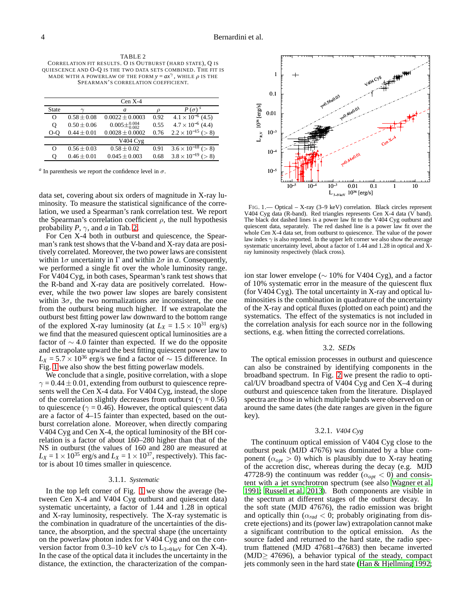<span id="page-5-2"></span>TABLE 2 CORRELATION FIT RESULTS. O IS OUTBURST (HARD STATE), Q IS QUIESCENCE AND O-Q IS THE TWO DATA SETS COMBINED. THE FIT IS MADE WITH A POWERLAW OF THE FORM  $y = ax^{\gamma}$ , WHILE  $\rho$  is the SPEARMAN'S CORRELATION COEFFICIENT.

|                   |                 | $Cen X-4$                  |      |                                 |
|-------------------|-----------------|----------------------------|------|---------------------------------|
| State             |                 | a                          |      | $P(\sigma)^s$                   |
| O                 | $0.58 + 0.08$   | $0.0022 \pm 0.0003$        | 0.92 | $4.1 \times 10^{-6}$ (4.5)      |
| Q                 | $0.50 \pm 0.06$ | $0.005\pm_{0.002}^{0.004}$ | 0.55 | $4.7 \times 10^{-6}$ (4.4)      |
| 0-O               | $0.44 \pm 0.01$ | $0.0028 \pm 0.0002$        | 0.76 | $2.2 \times 10^{-15}$ (> 8)     |
|                   |                 | V404 Cyg                   |      |                                 |
| $\mathbf{\Omega}$ | $0.56 \pm 0.03$ | $0.58 \pm 0.02$            | 0.91 | $3.6 \times 10^{-18}$ (> 8)     |
| 0                 | $0.46 \pm 0.01$ | $0.045 \pm 0.003$          | 0.68 | $3.8 \times 10^{-19}$<br>( > 8) |
|                   |                 |                            |      |                                 |

 $a$  In parenthesis we report the confidence level in  $\sigma$ .

data set, covering about six orders of magnitude in X-ray luminosity. To measure the statistical significance of the correlation, we used a Spearman's rank correlation test. We report the Spearman's correlation coefficient  $\rho$ , the null hypothesis probability  $P$ ,  $\gamma$ , and  $a$  in Tab. [2.](#page-5-2)

For Cen X-4 both in outburst and quiescence, the Spearman's rank test shows that the V-band and X-ray data are positively correlated. Moreover, the two power laws are consistent within  $1\sigma$  uncertainty in  $\Gamma$  and within  $2\sigma$  in *a*. Consequently, we performed a single fit over the whole luminosity range. For V404 Cyg, in both cases, Spearman's rank test shows that the R-band and X-ray data are positively correlated. However, while the two power law slopes are barely consistent within  $3\sigma$ , the two normalizations are inconsistent, the one from the outburst being much higher. If we extrapolate the outburst best fitting power law downward to the bottom range of the explored X-ray luminosity (at  $L_X = 1.5 \times 10^{31}$  erg/s) we find that the measured quiescent optical luminosities are a factor of  $\sim$  4.0 fainter than expected. If we do the opposite and extrapolate upward the best fitting quiescent power law to  $L_X$  = 5.7 × 10<sup>36</sup> erg/s we find a factor of  $\sim$  15 difference. In Fig. [1](#page-5-1) we also show the best fitting powerlaw models.

We conclude that a single, positive correlation, with a slope  $\gamma = 0.44 \pm 0.01$ , extending from outburst to quiescence represents well the Cen X-4 data. For V404 Cyg, instead, the slope of the correlation slightly decreases from outburst ( $\gamma = 0.56$ ) to quiescence ( $\gamma = 0.46$ ). However, the optical quiescent data are a factor of 4–15 fainter than expected, based on the outburst correlation alone. Moreover, when directly comparing V404 Cyg and Cen X-4, the optical luminosity of the BH correlation is a factor of about 160–280 higher than that of the NS in outburst (the values of  $160$  and  $280$  are measured at  $L_X = 1 \times 10^{35}$  erg/s and  $L_X = 1 \times 10^{37}$ , respectively). This factor is about 10 times smaller in quiescence.

#### 3.1.1. *Systematic*

In the top left corner of Fig. [1](#page-5-1) we show the average (between Cen X-4 and V404 Cyg outburst and quiescent data) systematic uncertainty, a factor of 1.44 and 1.28 in optical and X-ray luminosity, respectively. The X-ray systematic is the combination in quadrature of the uncertainties of the distance, the absorption, and the spectral shape (the uncertainty on the powerlaw photon index for V404 Cyg and on the conversion factor from 0.3–10 keV c/s to  $L_{3-9 keV}$  for Cen X-4). In the case of the optical data it includes the uncertainty in the distance, the extinction, the characterization of the compan-



<span id="page-5-1"></span>FIG. 1.— Optical – X-ray (3–9 keV) correlation. Black circles represent V404 Cyg data (R-band). Red triangles represents Cen X-4 data (V band). The black dot dashed lines is a power law fit to the V404 Cyg outburst and quiescent data, separately. The red dashed line is a power law fit over the whole Cen X-4 data set, from outburst to quiescence. The value of the power law index  $\gamma$  is also reported. In the upper left corner we also show the average systematic uncertainty level, about a factor of 1.44 and 1.28 in optical and Xray luminosity respectively (black cross).

ion star lower envelope ( $\sim$  10% for V404 Cyg), and a factor of 10% systematic error in the measure of the quiescent flux (for V404 Cyg). The total uncertainty in X-ray and optical luminosities is the combination in quadrature of the uncertainty of the X-ray and optical fluxes (plotted on each point) and the systematics. The effect of the systematics is not included in the correlation analysis for each source nor in the following sections, e.g. when fitting the corrected correlations.

# 3.2. *SEDs*

<span id="page-5-0"></span>The optical emission processes in outburst and quiescence can also be constrained by identifying components in the broadband spectrum. In Fig. [2](#page-8-0) we present the radio to optical/UV broadband spectra of V404 Cyg and Cen X–4 during outburst and quiescence taken from the literature. Displayed spectra are those in which multiple bands were observed on or around the same dates (the date ranges are given in the figure key).

# 3.2.1. *V404 Cyg*

The continuum optical emission of V404 Cyg close to the outburst peak (MJD 47676) was dominated by a blue component ( $\alpha_{opt} > 0$ ) which is plausibly due to X-ray heating of the accretion disc, whereas during the decay (e.g. MJD 47728-9) the continuum was redder ( $\alpha_{opt} < 0$ ) and consistent with a jet synchrotron spectrum (see also [Wagner et al.](#page-13-67) [1991;](#page-13-67) [Russell et al. 2013](#page-13-28)). Both components are visible in the spectrum at different stages of the outburst decay. In the soft state (MJD 47676), the radio emission was bright and optically thin ( $\alpha_{rad}$  < 0; probably originating from discrete ejections) and its (power law) extrapolation cannot make a significant contribution to the optical emission. As the source faded and returned to the hard state, the radio spectrum flattened (MJD 47681–47683) then became inverted  $(MJD \geq 47696)$ , a behavior typical of the steady, compact jets commonly seen in the hard state [\(Han & Hjellming 1992](#page-13-68);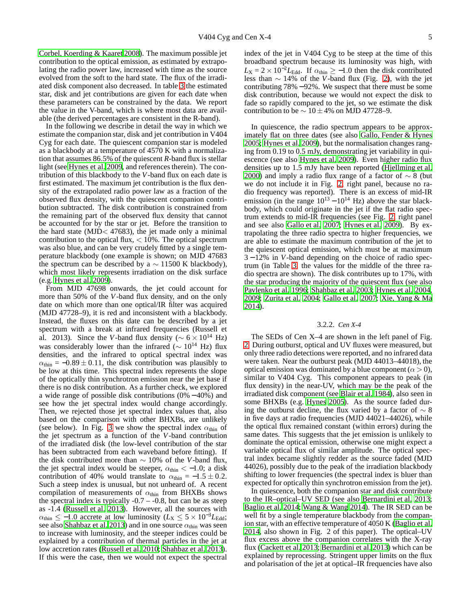[Corbel, Koerding & Kaaret 2008\)](#page-13-17). The maximum possible jet contribution to the optical emission, as estimated by extrapolating the radio power law, increased with time as the source evolved from the soft to the hard state. The flux of the irradiated disk component also decreased. In table [3](#page-8-1) the estimated star, disk and jet contributions are given for each date when these parameters can be constrained by the data. We report the value in the V-band, which is where most data are available (the derived percentages are consistent in the R-band).

In the following we describe in detail the way in which we estimate the companion star, disk and jet contribution in V404 Cyg for each date. The quiescent companion star is modeled as a blackbody at a temperature of 4570 K with a normalization that assumes 86.5% of the quiescent *R*-band flux is stellar light (see [Hynes et al. 2009,](#page-13-62) and references therein). The contribution of this blackbody to the *V*-band flux on each date is first estimated. The maximum jet contribution is the flux density of the extrapolated radio power law as a fraction of the observed flux density, with the quiescent companion contribution subtracted. The disk contribution is constrained from the remaining part of the observed flux density that cannot be accounted for by the star or jet. Before the transition to the hard state (MJD $<$  47683), the jet made only a minimal contribution to the optical flux,  $\langle 10\% \rangle$ . The optical spectrum was also blue, and can be very crudely fitted by a single temperature blackbody (one example is shown; on MJD 47683 the spectrum can be described by a  $\sim$  11500 K blackbody), which most likely represents irradiation on the disk surface (e.g. [Hynes et al. 2009\)](#page-13-62).

From MJD 47698 onwards, the jet could account for more than 50% of the *V*-band flux density, and on the only date on which more than one optical/IR filter was acquired (MJD 47728–9), it is red and inconsistent with a blackbody. Instead, the fluxes on this date can be described by a jet spectrum with a break at infrared frequencies (Russell et al. 2013). Since the *V*-band flux density ( $\sim 6 \times 10^{14}$  Hz) was considerably lower than the infrared ( $\sim 10^{14}$  Hz) flux densities, and the infrared to optical spectral index was  $\alpha_{\text{thin}} = -0.89 \pm 0.11$ , the disk contribution was plausibly to be low at this time. This spectral index represents the slope of the optically thin synchrotron emission near the jet base if there is no disk contribution. As a further check, we explored a wide range of possible disk contributions (0% − 40%) and see how the jet spectral index would change accordingly. Then, we rejected those jet spectral index values that, also based on the comparison with other BHXBs, are unlikely (see below). In Fig. [3](#page-9-0) we show the spectral index  $\alpha_{\text{thin}}$  of the jet spectrum as a function of the *V*-band contribution of the irradiated disk (the low-level contribution of the star has been subtracted from each waveband before fitting). If the disk contributed more than ∼ 10% of the *V*-band flux, the jet spectral index would be steeper,  $\alpha_{\text{thin}} < -1.0$ ; a disk contribution of 40% would translate to  $\alpha_{\text{thin}} = -1.5 \pm 0.2$ . Such a steep index is unusual, but not unheard of. A recent compilation of measurements of  $\alpha_{\text{thin}}$  from BHXBs shows the spectral index is typically  $-0.7 - 0.8$ , but can be as steep as -1.4 [\(Russell et al. 2013](#page-13-28)). However, all the sources with  $\alpha_{\text{thin}} \leq -1.0$  accrete at low luminosity ( $L_{\text{X}} \leq 5 \times 10^{-3} L_{\text{Edd}}$ ; see also [Shahbaz et al. 2013](#page-13-26)) and in one source  $\alpha_{\text{thin}}$  was seen to increase with luminosity, and the steeper indices could be explained by a contribution of thermal particles in the jet at low accretion rates [\(Russell et al. 2010;](#page-13-69) [Shahbaz et al. 2013\)](#page-13-26). If this were the case, then we would not expect the spectral

index of the jet in V404 Cyg to be steep at the time of this broadband spectrum because its luminosity was high, with  $L_X = 2 \times 10^{-2} L_{\text{Edd}}$ . If  $\alpha_{\text{thin}} \ge -1.0$  then the disk contributed less than ∼ 14% of the *V*-band flux (Fig. [2\)](#page-8-0), with the jet contributing 78% − 92%. We suspect that there must be some disk contribution, because we would not expect the disk to fade so rapidly compared to the jet, so we estimate the disk contribution to be  $\sim$  10 ± 4% on MJD 47728–9.

In quiescence, the radio spectrum appears to be approximately flat on three dates (see also [Gallo, Fender & Hynes](#page-13-22) [2005;](#page-13-22) [Hynes et al. 2009](#page-13-62)), but the normalisation changes ranging from 0.19 to 0.5 mJy, demonstrating jet variability in quiescence (see also [Hynes et al. 2009](#page-13-62)). Even higher radio flux densities up to 1.5 mJy have been reported [\(Hjellming et al.](#page-13-70) [2000\)](#page-13-70) and imply a radio flux range of a factor of  $\sim 8$  (but we do not include it in Fig. [2,](#page-8-0) right panel, because no radio frequency was reported). There is an excess of mid-IR emission (in the range  $10^{13} - 10^{14}$  Hz) above the star blackbody, which could originate in the jet if the flat radio spectrum extends to mid-IR frequencies (see Fig. [2,](#page-8-0) right panel and see also [Gallo et al. 2007;](#page-13-24) [Hynes et al. 2009\)](#page-13-62). By extrapolating the three radio spectra to higher frequencies, we are able to estimate the maximum contribution of the jet to the quiescent optical emission, which must be at maximum 3 − 12% in *V*-band depending on the choice of radio spectrum (in Table [3,](#page-8-1) the values for the middle of the three radio spectra are shown). The disk contributes up to 17%, with the star producing the majority of the quiescent flux (see also [Pavlenko et al. 1996;](#page-13-71) [Shahbaz et al. 2003;](#page-13-72) [Hynes et al. 2004,](#page-13-36) [2009;](#page-13-62) [Zurita et al. 2004;](#page-13-66) [Gallo et al. 2007](#page-13-24); [Xie, Yang & Ma](#page-13-73) [2014\)](#page-13-73).

#### 3.2.2. *Cen X-4*

The SEDs of Cen X–4 are shown in the left panel of Fig. [2.](#page-8-0) During outburst, optical and UV fluxes were measured, but only three radio detections were reported, and no infrared data were taken. Near the outburst peak (MJD 44013–44018), the optical emission was dominated by a blue component ( $\alpha > 0$ ), similar to V404 Cyg. This component appears to peak (in flux density) in the near-UV, which may be the peak of the irradiated disk component (see [Blair et al. 1984\)](#page-13-74), also seen in some BHXBs (e.g. [Hynes 2005\)](#page-13-75). As the source faded during the outburst decline, the flux varied by a factor of  $\sim 8$ in five days at radio frequencies (MJD 44021–44026), while the optical flux remained constant (within errors) during the same dates. This suggests that the jet emission is unlikely to dominate the optical emission, otherwise one might expect a variable optical flux of similar amplitude. The optical spectral index became slightly redder as the source faded (MJD 44026), possibly due to the peak of the irradiation blackbody shifting to lower frequencies (the spectral index is bluer than expected for optically thin synchrotron emission from the jet).

In quiescence, both the companion star and disk contribute to the IR–optical–UV SED (see also [Bernardini et al. 2013](#page-13-10); [Baglio et al. 2014;](#page-12-1) [Wang & Wang 2014](#page-13-76)). The IR SED can be well fit by a single temperature blackbody from the companion star, with an effective temperature of 4050 K [\(Baglio et al.](#page-12-1) [2014,](#page-12-1) also shown in Fig. 2 of this paper). The optical–UV flux excess above the companion correlates with the X-ray flux [\(Cackett et al. 2013;](#page-13-9) [Bernardini et al. 2013\)](#page-13-10) which can be explained by reprocessing. Stringent upper limits on the flux and polarisation of the jet at optical–IR frequencies have also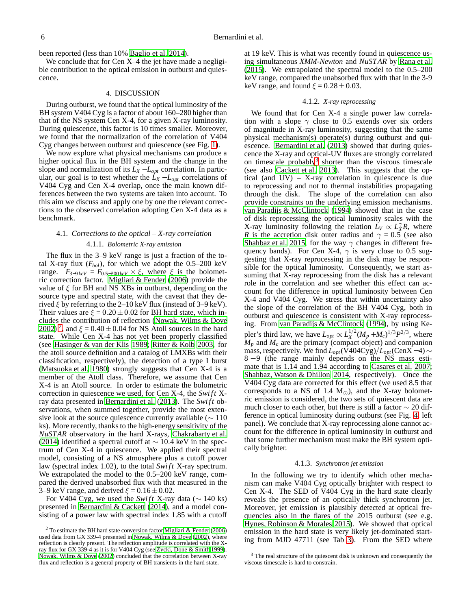been reported (less than 10% [Baglio et al. 2014\)](#page-12-1).

We conclude that for Cen X–4 the jet have made a negligible contribution to the optical emission in outburst and quiescence.

# 4. DISCUSSION

During outburst, we found that the optical luminosity of the BH system V404 Cyg is a factor of about 160–280 higher than that of the NS system Cen X-4, for a given X-ray luminosity. During quiescence, this factor is 10 times smaller. Moreover, we found that the normalization of the correlation of V404 Cyg changes between outburst and quiescence (see Fig. [1\)](#page-5-1).

We now explore what physical mechanisms can produce a higher optical flux in the BH system and the change in the slope and normalization of its  $L_X - L_{opt}$  correlation. In particular, our goal is to test whether the  $\dot{L}_X - L_{opt}$  correlations of V404 Cyg and Cen X-4 overlap, once the main known differences between the two systems are taken into account. To this aim we discuss and apply one by one the relevant corrections to the observed correlation adopting Cen X-4 data as a benchmark.

# 4.1. *Corrections to the optical – X-ray correlation* 4.1.1. *Bolometric X-ray emission*

The flux in the 3–9 keV range is just a fraction of the total X-ray flux  $(F_{bol})$ , for which we adopt the  $0.5-200$  keV range.  $F_{3-9keV} = F_{0.5-200 keV} \times \xi$ , where  $\xi$  is the bolometric correction factor. [Migliari & Fender](#page-13-21) [\(2006\)](#page-13-21) provide the value of  $\xi$  for BH and NS XBs in outburst, depending on the source type and spectral state, with the caveat that they derived  $\xi$  by referring to the 2–10 keV flux (instead of 3–9 keV). Their values are  $\xi = 0.20 \pm 0.02$  for BH hard state, which includes the contribution of reflection [\(Nowak, Wilms & Dove](#page-13-77) [2002\)](#page-13-77)<sup>[2](#page-7-0)</sup>, and  $\xi = 0.40 \pm 0.04$  for NS Atoll sources in the hard state. While Cen X-4 has not yet been properly classified (see [Hasinger & van der Klis 1989;](#page-13-78) [Ritter & Kolb 2003,](#page-13-79) for the atoll source definition and a catalog of LMXBs with their classification, respectively), the detection of a type I burst [\(Matsuoka et al. 1980](#page-13-43)) strongly suggests that Cen X-4 is a member of the Atoll class. Therefore, we assume that Cen X-4 is an Atoll source. In order to estimate the bolometric correction in quiescence we used, for Cen X-4, the *Swi ft* Xray data presented in [Bernardini et al.](#page-13-10) [\(2013\)](#page-13-10). The *Swi ft* observations, when summed together, provide the most extensive look at the source quiescence currently available ( $\sim$  110 ks). More recently, thanks to the high-energy sensitivity of the *NuSTAR* observatory in the hard X-rays, [Chakrabarty et al.](#page-13-64) [\(2014](#page-13-64)) identified a spectral cutoff at  $\sim$  10.4 keV in the spectrum of Cen X-4 in quiescence. We applied their spectral model, consisting of a NS atmosphere plus a cutoff power law (spectral index 1.02), to the total *Swift* X-ray spectrum. We extrapolated the model to the 0.5–200 keV range, compared the derived unabsorbed flux with that measured in the 3–9 keV range, and derived  $\xi = 0.16 \pm 0.02$ .

For V404 Cyg, we used the *Swift* X-ray data ( $\sim$  140 ks) presented in [Bernardini & Cackett \(2014](#page-13-80)), and a model consisting of a power law with spectral index 1.85 with a cutoff

at 19 keV. This is what was recently found in quiescence using simultaneous *XMM-Newton* and *NuSTAR* by [Rana et al.](#page-13-47) [\(2015\)](#page-13-47). We extrapolated the spectral model to the 0.5–200 keV range, compared the unabsorbed flux with that in the 3-9 keV range, and found  $\xi = 0.28 \pm 0.03$ .

# 4.1.2. *X-ray reprocessing*

We found that for Cen X-4 a single power law correlation with a slope  $\gamma$  close to 0.5 extends over six orders of magnitude in X-ray luminosity, suggesting that the same physical mechanism(s) operate(s) during outburst and quiescence. [Bernardini et al. \(2013\)](#page-13-10) showed that during quiescence the X-ray and optical-UV fluxes are strongly correlated on timescale probably<sup>[3](#page-7-1)</sup> shorter than the viscous timescale (see also [Cackett et al. 2013\)](#page-13-9). This suggests that the optical (and  $UV$ ) – X-ray correlation in quiescence is due to reprocessing and not to thermal instabilities propagating through the disk. The slope of the correlation can also provide constraints on the underlying emission mechanisms. [van Paradijs & McClintock \(1994](#page-13-32)) showed that in the case of disk reprocessing the optical luminosity scales with the X-ray luminosity following the relation  $\dot{L}_V \propto L_X^{\gamma} R$ , where *R* is the accretion disk outer radius and  $\gamma = 0.5$  (see also [Shahbaz et al. 2015,](#page-13-81) for the way  $\gamma$  changes in different frequency bands). For Cen X-4,  $\gamma$  is very close to 0.5 suggesting that X-ray reprocessing in the disk may be responsible for the optical luminosity. Consequently, we start assuming that X-ray reprocessing from the disk has a relevant role in the correlation and see whether this effect can account for the difference in optical luminosity between Cen X-4 and V404 Cyg. We stress that within uncertainty also the slope of the correlation of the BH V404 Cyg, both in outburst and quiescence is consistent with X-ray reprocessing. From [van Paradijs & McClintock](#page-13-32) [\(1994\)](#page-13-32), by using Kepler's third law, we have  $L_{opt} \propto L_X^{1/2} (M_p + M_c)^{1/3} P^{2/3}$ , where  $M_p$  and  $M_c$  are the primary (compact object) and companion mass, respectively. We find  $L_{opt}$ (V404Cyg)/ $L_{opt}$ (CenX − 4)  $\sim$ 8 − 9 (the range mainly depends on the NS mass estimate that is 1.14 and 1.94 according to [Casares et al. 2007](#page-13-44); [Shahbaz, Watson & Dhillon 2014,](#page-13-45) respectively). Once the V404 Cyg data are corrected for this effect (we used 8.5 that corresponds to a NS of 1.4  $M_{\odot}$ ), and the X-ray bolometric emission is considered, the two sets of quiescent data are much closer to each other, but there is still a factor  $\sim$  20 difference in optical luminosity during outburst (see Fig. [4,](#page-11-0) left panel). We conclude that X-ray reprocessing alone cannot account for the difference in optical luminosity in outburst and that some further mechanism must make the BH system optically brighter.

#### 4.1.3. *Synchrotron jet emission*

In the following we try to identify which other mechanism can make V404 Cyg optically brighter with respect to Cen X-4. The SED of V404 Cyg in the hard state clearly reveals the presence of an optically thick synchrotron jet. Moreover, jet emission is plausibly detected at optical frequencies also in the flares of the 2015 outburst (see e.g. [Hynes, Robinson & Morales 2015\)](#page-13-82). We showed that optical emission in the hard state is very likely jet-dominated starting from MJD 47711 (see Tab [3\)](#page-8-1). From the SED where

<span id="page-7-0"></span><sup>&</sup>lt;sup>2</sup> To estimate the BH hard state conversion factor [Migliari & Fender \(2006](#page-13-21)) used data from GX 339-4 presented in [Nowak, Wilms & Dove \(2002](#page-13-77)), where reflection is clearly present. The reflection amplitude is correlated with the Xray flux for GX 339-4 as it is for V404 Cyg (see [Zycki, Done & Smith 1999](#page-13-46)). [Nowak, Wilms & Dove \(2002](#page-13-77)) concluded that the correlation between X-ray flux and reflection is a general property of BH transients in the hard state.

<span id="page-7-1"></span><sup>&</sup>lt;sup>3</sup> The real structure of the quiescent disk is unknown and consequently the viscous timescale is hard to constrain.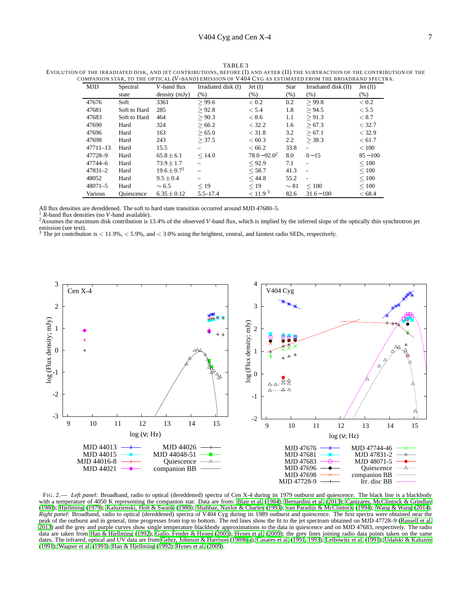| <b>MJD</b>   | Spectral          | V-band flux                 | Irradiated disk (I) | $Jet$ (I)           | <b>Star</b> | Irradiated disk (II)     | Jet(II)    |
|--------------|-------------------|-----------------------------|---------------------|---------------------|-------------|--------------------------|------------|
|              | state             | density (mJy)               | (% )                | (%)                 | (%)         | (% )                     | $(\% )$    |
| 47676        | Soft              | 3361                        | > 99.6              | < 0.2               | 0.2         | > 99.8                   | < 0.2      |
| 47681        | Soft to Hard      | 285                         | > 92.8              | < 5.4               | 1.8         | > 94.5                   | < 5.5      |
| 47683        | Soft to Hard      | 464                         | > 90.3              | < 8.6               | 1.1         | > 91.3                   | ${}<\,8.7$ |
| 47690        | Hard              | 324                         | > 66.2              | < 32.2              | 1.6         | > 67.3                   | < 32.7     |
| 47696        | Hard              | 163                         | > 65.0              | < 31.8              | 3.2         | > 67.1                   | < 32.9     |
| 47698        | Hard              | 243                         | > 37.5              | < 60.3              | 2.2         | > 38.3                   | < 61.7     |
| $47711 - 13$ | Hard              | 15.5                        |                     | < 66.2              | 33.8        | $\blacksquare$           | < 100      |
| 47728-9      | Hard              | $65.8 \pm 6.1$              | < 14.0              | $78.0 - 92.0^2$     | 8.0         | $0 - 15$                 | $85 - 100$ |
| 47744-6      | Hard              | $73.9 \pm 1.7$              | $\qquad \qquad -$   | < 92.9              | 7.1         | $\overline{\phantom{a}}$ | $\leq 100$ |
| $47831 - 2$  | Hard              | $19.6 \pm 0.7$ <sup>1</sup> |                     | < 58.7              | 41.3        | $\overline{\phantom{a}}$ | $\leq 100$ |
| 48052        | Hard              | $9.5 \pm 0.4$               |                     | < 44.8              | 55.2        | $\blacksquare$           | $\leq 100$ |
| $48071 - 5$  | Hard              | $\sim 6.5$                  | < 19                | $\leq$ 19           | $\sim 81$   | $\leq 100$               | $\leq 100$ |
| Various      | <b>Ouiescence</b> | $6.35 \pm 0.12$             | $5.5 - 17.4$        | < 11.9 <sup>3</sup> | 82.6        | $31.6 - 100$             | < 68.4     |

<span id="page-8-1"></span>TABLE 3 EVOLUTION OF THE IRRADIATED DISK, AND JET CONTRIBUTIONS, BEFORE (I) AND AFTER (II) THE SUBTRACTION OF THE CONTRIBUTION OF THE COMPANION STAR, TO THE OPTICAL (*V*-BAND) EMISSION OF V404 CYG AS ESTIMATED FROM THE BROADBAND SPECTRA.

All flux densities are dereddened. The soft to hard state transition occurred around MJD 47680–5.

<sup>1</sup> *R*-band flux densities (no *V*-band available).

2Assumes the maximum disk contribution is 13.4% of the observed *V*-band flux, which is implied by the inferred slope of the optically thin synchrotron jet emission (see text).<br><sup>3</sup> The jet contribution is  $< 11.9\%$ ,  $< 5.9\%$ , and  $< 3.0\%$  using the brightest, central, and faintest radio SEDs, respectively.



<span id="page-8-0"></span>FIG. 2.— *Left panel*: Broadband, radio to optical (dereddened) spectra of Cen X-4 during its 1979 outburst and quiescence. The black line is a blackbody with a temperature of 4050 K representing the companion star. Data are from: [Blair et al. \(1984\)](#page-13-74); [Bernardini et al.](#page-13-10) [\(2013](#page-13-10)); [Canizares, McClintock & Grindlay](#page-13-83) [\(1980](#page-13-83)); [Hjellming \(1979\)](#page-13-84); [Kaluzienski, Holt & Swank \(1980](#page-13-50)); [Shahbaz, Naylor & Charles \(1993\)](#page-13-85); [van Paradijs & McClintock \(1994](#page-13-32)); [Wang & Wang \(2014](#page-13-76)). *Right panel*: Broadband, radio to optical (dereddened) spectra of V404 Cyg during its 1989 outburst and quiescence. The first spectra were obtained near the peak of the outburst and in general, time progresses from top to bottom. The red lines show the fit to the jet spectrum obtained on MJD 47728–9 [\(Russell et al.](#page-13-28) [2013\)](#page-13-28) and the grey and purple curves show single temperature blackbody approximations to the data in quiescence and on MJD 47683, respectively. The radio data are taken from [Han & Hjellming](#page-13-68) [\(1992](#page-13-68)); [Gallo, Fender & Hynes \(2005\)](#page-13-22); [Hynes et al. \(2009\)](#page-13-62); the grey lines joining radio data points taken on the same dates. The infrared, optical and UV data are from [Gehrz, Johnson & Harrison \(1989b](#page-13-86)[,a](#page-13-87)); [Casares et al.](#page-13-88) [\(1991](#page-13-88), [1993](#page-13-61)); [Leibowitz et al. \(1991](#page-13-89)); [Udalski & Kaluzny](#page-13-90) [\(1991](#page-13-90)); [Wagner et al. \(1991\)](#page-13-67); [Han & Hjellming \(1992](#page-13-68)); [Hynes et al. \(2009](#page-13-62)).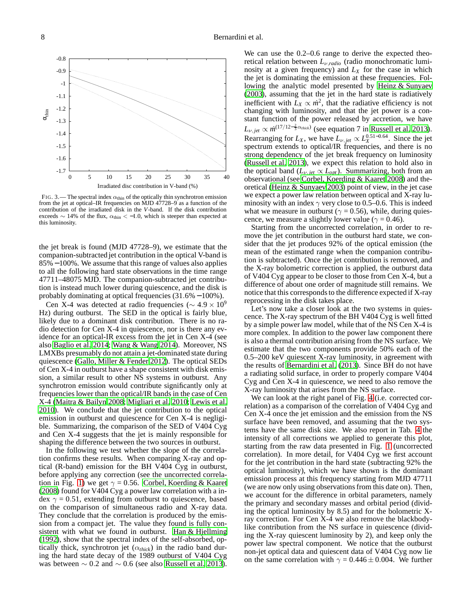

<span id="page-9-0"></span>FIG. 3.— The spectral index  $\alpha_{\text{thin}}$  of the optically thin synchrotron emission from the jet at optical–IR frequencies on MJD 47728–9 as a function of the contribution of the irradiated disk in the *V*-band. If the disk contribution exceeds  $\sim$  14% of the flux,  $\alpha_{\text{thin}} < -1.0$ , which is steeper than expected at this luminosity.

the jet break is found (MJD 47728–9), we estimate that the companion-subtracted jet contribution in the optical V-band is 85%−100%. We assume that this range of values also applies to all the following hard state observations in the time range 47711–48075 MJD. The companion-subtracted jet contribution is instead much lower during quiescence, and the disk is probably dominating at optical frequencies (31.6% − 100%).

Cen X-4 was detected at radio frequencies ( $\sim 4.9 \times 10^9$ Hz) during outburst. The SED in the optical is fairly blue, likely due to a dominant disk contribution. There is no radio detection for Cen X-4 in quiescence, nor is there any evidence for an optical-IR excess from the jet in Cen X-4 (see also [Baglio et al. 2014](#page-12-1); [Wang & Wang 2014](#page-13-76)). Moreover, NS LMXBs presumably do not attain a jet-dominated state during quiescence [\(Gallo, Miller & Fender 2012\)](#page-13-20). The optical SEDs of Cen X-4 in outburst have a shape consistent with disk emission, a similar result to other NS systems in outburst. Any synchrotron emission would contribute significantly only at frequencies lower than the optical/IR bands in the case of Cen X-4 [\(Maitra & Bailyn 2008;](#page-13-91) [Migliari et al. 2010;](#page-13-92) [Lewis et al.](#page-13-93) [2010\)](#page-13-93). We conclude that the jet contribution to the optical emission in outburst and quiescence for Cen X-4 is negligible. Summarizing, the comparison of the SED of V404 Cyg and Cen X-4 suggests that the jet is mainly responsible for shaping the difference between the two sources in outburst.

In the following we test whether the slope of the correlation confirms these results. When comparing X-ray and optical (R-band) emission for the BH V404 Cyg in outburst, before applying any correction (see the uncorrected correla-tion in Fig. [1\)](#page-5-1) we get  $\gamma = 0.56$ . [Corbel, Koerding & Kaaret](#page-13-17) [\(2008](#page-13-17)) found for V404 Cyg a power law correlation with a index  $\gamma = 0.51$ , extending from outburst to quiescence, based on the comparison of simultaneous radio and X-ray data. They conclude that the correlation is produced by the emission from a compact jet. The value they found is fully consistent with what we found in outburst. [Han & Hjellming](#page-13-68) [\(1992](#page-13-68)), show that the spectral index of the self-absorbed, optically thick, synchrotron jet  $(\alpha_{thick})$  in the radio band during the hard state decay of the 1989 outburst of V404 Cyg was between  $\sim 0.2$  and  $\sim 0.6$  (see also [Russell et al. 2013\)](#page-13-28).

We can use the  $0.2-0.6$  range to derive the expected theoretical relation between *L*ν,*radio* (radio monochromatic luminosity at a given frequency) and *L<sup>X</sup>* for the case in which the jet is dominating the emission at these frequencies. Following the analytic model presented by [Heinz & Sunyaev](#page-13-94) [\(2003\)](#page-13-94), assuming that the jet in the hard state is radiatively inefficient with  $\bar{L}_X \propto \dot{m}^2$ , that the radiative efficiency is not changing with luminosity, and that the jet power is a constant function of the power released by accretion, we have  $L_{\nu,jet} \propto \dot{m}^{(17/12-\frac{2}{3}\alpha_{thick})}$  (see equation 7 in [Russell et al. 2013](#page-13-28)). Rearranging for  $L_X$ , we have  $L_{\nu, jet} \propto L_X^{0.51-0.64}$ . Since the jet spectrum extends to optical/IR frequencies, and there is no strong dependency of the jet break frequency on luminosity [\(Russell et al. 2013\)](#page-13-28), we expect this relation to hold also in the optical band ( $L_{\nu, jet} \propto L_{opt}$ ). Summarizing, both from an observational (see [Corbel, Koerding & Kaaret 2008\)](#page-13-17) and theoretical [\(Heinz & Sunyaev 2003\)](#page-13-94) point of view, in the jet case we expect a power law relation between optical and X-ray luminosity with an index  $\gamma$  very close to 0.5–0.6. This is indeed what we measure in outburst ( $\gamma = 0.56$ ), while, during quiescence, we measure a slightly lower value ( $\gamma = 0.46$ ).

Starting from the uncorrected correlation, in order to remove the jet contribution in the outburst hard state, we consider that the jet produces 92% of the optical emission (the mean of the estimated range when the companion contribution is subtracted). Once the jet contribution is removed, and the X-ray bolometric correction is applied, the outburst data of V404 Cyg appear to be closer to those from Cen X-4, but a difference of about one order of magnitude still remains. We notice that this corresponds to the difference expected if X-ray reprocessing in the disk takes place.

Let's now take a closer look at the two systems in quiescence. The X-ray spectrum of the BH V404 Cyg is well fitted by a simple power law model, while that of the NS Cen X-4 is more complex. In addition to the power law component there is also a thermal contribution arising from the NS surface. We estimate that the two components provide 50% each of the 0.5–200 keV quiescent X-ray luminosity, in agreement with the results of [Bernardini et al. \(2013\)](#page-13-10). Since BH do not have a radiating solid surface, in order to properly compare V404 Cyg and Cen X-4 in quiescence, we need to also remove the X-ray luminosity that arises from the NS surface.

We can look at the right panel of Fig. [4](#page-11-0) (i.e. corrected correlation) as a comparison of the correlation of V404 Cyg and Cen X-4 once the jet emission and the emission from the NS surface have been removed, and assuming that the two systems have the same disk size. We also report in Tab. [4](#page-10-0) the intensity of all corrections we applied to generate this plot, starting from the raw data presented in Fig. [1](#page-5-1) (uncorrected correlation). In more detail, for V404 Cyg we first account for the jet contribution in the hard state (subtracting 92% the optical luminosity), which we have shown is the dominant emission process at this frequency starting from MJD 47711 (we are now only using observations from this date on). Then, we account for the difference in orbital parameters, namely the primary and secondary masses and orbital period (dividing the optical luminosity by 8.5) and for the bolometric Xray correction. For Cen X-4 we also remove the blackbodylike contribution from the NS surface in quiescence (dividing the X-ray quiescent luminosity by 2), and keep only the power law spectral component. We notice that the outburst non-jet optical data and quiescent data of V404 Cyg now lie on the same correlation with  $\gamma = 0.446 \pm 0.004$ . We further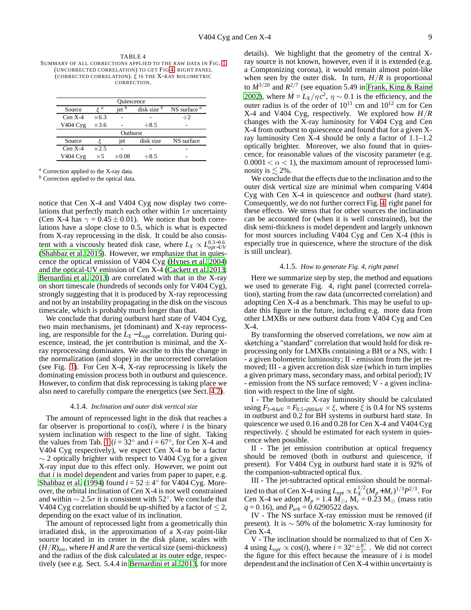<span id="page-10-0"></span>TABLE 4 SUMMARY OF ALL CORRECTIONS APPLIED TO THE RAW DATA IN FIG. [1](#page-5-1) (UNCORRECTED CORRELATION) TO GET FIG [4,](#page-11-0) RIGHT PANEL (CORRECTED CORRELATION). ξ IS THE X-RAY BOLOMETRIC CORRECTION.

| Ouiescence |              |                |               |                |  |  |
|------------|--------------|----------------|---------------|----------------|--|--|
| Source     | $\zeta$ a    | $\text{let}^b$ | disk size $b$ | NS surface $a$ |  |  |
| $Cen X-4$  | $\times$ 6.3 |                |               | $\div 2$       |  |  |
| V404 Cyg   | $\times$ 3.6 |                | $\div 8.5$    |                |  |  |
| Outburst   |              |                |               |                |  |  |
| Source     |              | jet            | disk size     | NS surface     |  |  |
| $Cen X-4$  | $\times 2.5$ |                |               |                |  |  |
| V404 Cyg   | $\times 5$   | $\times 0.08$  | $-8.5$        |                |  |  |

*<sup>a</sup>* Correction applied to the X-ray data.

*<sup>b</sup>* Correction applied to the optical data.

notice that Cen X-4 and V404 Cyg now display two correlations that perfectly match each other within  $1\sigma$  uncertainty (Cen X-4 has  $\gamma = 0.45 \pm 0.01$ ). We notice that both correlations have a slope close to 0.5, which is what is expected from X-ray reprocessing in the disk. It could be also consistent with a viscously heated disk case, where  $L_X \propto L_{opt-UV}^{0.3-0.6}$ [\(Shahbaz et al. 2015\)](#page-13-81). However, we emphasize that in quiescence the optical emission of V404 Cyg [\(Hynes et al. 2004\)](#page-13-36) and the optical-UV emission of Cen X-4 [\(Cackett et al. 2013;](#page-13-9) [Bernardini et al. 2013\)](#page-13-10) are correlated with that in the X-ray on short timescale (hundreds of seconds only for V404 Cyg), strongly suggesting that it is produced by X-ray reprocessing and not by an instability propagating in the disk on the viscous timescale, which is probably much longer than that.

We conclude that during outburst hard state of V404 Cyg, two main mechanisms, jet (dominant) and X-ray reprocessing, are responsible for the  $L_X - L_{opt}$  correlation. During quiescence, instead, the jet contribution is minimal, and the Xray reprocessing dominates. We ascribe to this the change in the normalization (and slope) in the uncorrected correlation (see Fig. [1\)](#page-5-1). For Cen X-4, X-ray reprocessing is likely the dominating emission process both in outburst and quiescence. However, to confirm that disk reprocessing is taking place we also need to carefully compare the energetics (see Sect. [4.2\)](#page-11-1).

#### 4.1.4. *Inclination and outer disk vertical size*

The amount of reprocessed light in the disk that reaches a far observer is proportional to  $cos(i)$ , where *i* is the binary system inclination with respect to the line of sight. Taking the values from Tab. [1](#page-4-0) ( $i = 32^\circ$  and  $i = 67^\circ$ , for Cen X-4 and V404 Cyg respectively), we expect Cen X-4 to be a factor  $\sim$  2 optically brighter with respect to V404 Cyg for a given X-ray input due to this effect only. However, we point out that *i* is model dependent and varies from paper to paper, e.g. [Shahbaz et al. \(1994](#page-13-63)) found  $i = 52 \pm 4^{\circ}$  for V404 Cyg. Moreover, the orbital inclination of Cen X-4 is not well constrained and within  $\sim 2.5\sigma$  it is consistent with 52°. We conclude that V404 Cyg correlation should be up-shifted by a factor of  $\leq$  2, depending on the exact value of its inclination.

The amount of reprocessed light from a geometrically thin irradiated disk, in the approximation of a X-ray point-like source located in its center in the disk plane, scales with  $(H/R)_{ext}$ , where *H* and *R* are the vertical size (semi-thickness) and the radius of the disk calculated at its outer edge, respectively (see e.g. Sect. 5.4.4 in [Bernardini et al. 2013](#page-13-10), for more details). We highlight that the geometry of the central Xray source is not known, however, even if it is extended (e.g. a Comptonizing corona), it would remain almost point-like when seen by the outer disk. In turn,  $H/R$  is proportional to  $\dot{M}^{3/20}$  and  $R^{2/7}$  (see equation 5.49 in [Frank, King & Raine](#page-13-95) [2002\)](#page-13-95), where  $\dot{M} = L_X / \eta c^2$ ,  $\eta \sim 0.1$  is the efficiency, and the outer radius is of the order of  $10^{11}$  cm and  $10^{12}$  cm for Cen X-4 and V404 Cyg, respectively. We explored how *H*/*R* changes with the X-ray luminosity for V404 Cyg and Cen X-4 from outburst to quiescence and found that for a given Xray luminosity Cen X-4 should be only a factor of 1.1–1.2 optically brighter. Moreover, we also found that in quiescence, for reasonable values of the viscosity parameter (e.g.  $0.0001 < \alpha < 1$ , the maximum amount of reprocessed luminosity is  $\leq 2\%$ .

We conclude that the effects due to the inclination and to the outer disk vertical size are minimal when comparing V404 Cyg with Cen X-4 in quiescence and outburst (hard state). Consequently, we do not further correct Fig. [4,](#page-11-0) right panel for these effects. We stress that for other sources the inclination can be accounted for (when it is well constrained), but the disk semi-thickness is model dependent and largely unknown for most sources including V404 Cyg and Cen X-4 (this is especially true in quiescence, where the structure of the disk is still unclear).

# 4.1.5. *How to generate Fig. 4, right panel*

Here we summarize step by step, the method and equations we used to generate Fig. 4, right panel (corrected correlation), starting from the raw data (uncorrected correlation) and adopting Cen X-4 as a benchmark. This may be useful to update this figure in the future, including e.g. more data from other LMXBs or new outburst data from V404 Cyg and Cen X-4.

By transforming the observed correlations, we now aim at sketching a "standard" correlation that would hold for disk reprocessing only for LMXBs containing a BH or a NS, with: I - a given bolometric luminosity; II - emission from the jet removed; III - a given accretion disk size (which in turn implies a given primary mass, secondary mass, and orbital period); IV - emission from the NS surface removed; V - a given inclination with respect to the line of sight.

I - The bolometric X-ray luminosity should be calculated using  $F_{3-9 keV} = F_{0.5-200 keV} \times \xi$ , where  $\xi$  is 0.4 for NS systems in outburst and 0.2 for BH systems in outburst hard state. In quiescence we used 0.16 and 0.28 for Cen X-4 and V404 Cyg respectively.  $\xi$  should be estimated for each system in quiescence when possible.

II - The jet emission contribution at optical frequency should be removed (both in outburst and quiescence, if present). For V404 Cyg in outburst hard state it is 92% of the companion-subtracted optical flux.

III - The jet-subtracted optical emission should be normalized to that of Cen X-4 using  $L_{opt} \propto L_X^{1/2} (M_p + M_c)^{1/3} P^{2/3}$ . For Cen X-4 we adopt  $M_p = 1.4 M_{\odot}$ ,  $M_c = 0.23 M_{\odot}$  (mass ratio  $q = 0.16$ ), and  $\vec{P_{orb}} = 0.6290522 \text{ days}.$ 

IV - The NS surface X-ray emission must be removed (if present). It is  $\sim$  50% of the bolometric X-ray luminosity for Cen X-4.

V - The inclination should be normalized to that of Cen X-4 using  $L_{opt} \propto cos(i)$ , where  $i = 32^\circ \pm_{2^\circ}^{8^\circ}$  . We did not correct the figure for this effect because the measure of *i* is model dependent and the inclination of Cen X-4 within uncertainty is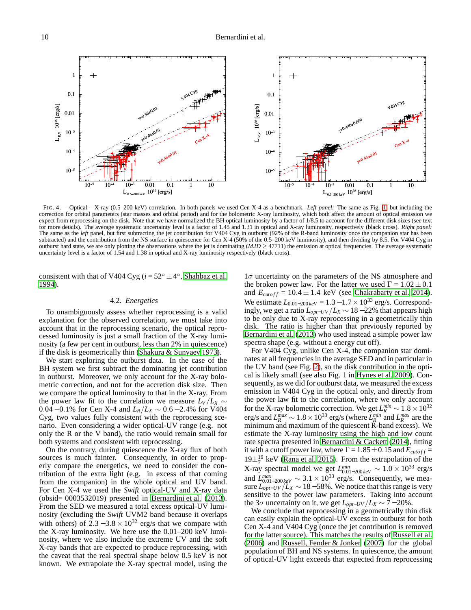<span id="page-11-0"></span>FIG. 4.— Optical – X-ray (0.5–200 keV) correlation. In both panels we used Cen X-4 as a benchmark. *Left panel:* The same as Fig. [1,](#page-5-1) but including the correction for orbital parameters (star masses and orbital period) and for the bolometric X-ray luminosity, which both affect the amount of optical emission we expect from reprocessing on the disk. Note that we have normalized the BH optical luminosity by a factor of 1/8.5 to account for the different disk sizes (see text for more details). The average systematic uncertainty level is a factor of 1.45 and 1.31 in optical and X-ray luminosity, respectively (black cross). *Right panel:* The same as the *left* panel, but first subtracting the jet contribution for V404 Cyg in outburst (92% of the R-band luminosity once the companion star has been subtracted) and the contribution from the NS surface in quiescence for Cen X-4 (50% of the 0.5–200 keV luminosity), and then dividing by 8.5. For V404 Cyg in outburst hard state, we are only plotting the observations where the jet is dominating  $(MJD \ge 47711)$  the emission at optical frequencies. The average systematic uncertainty level is a factor of 1.54 and 1.38 in optical and X-ray luminosity respectively (black cross).

consistent with that of V404 Cyg ( $i = 52^\circ \pm 4^\circ$ , [Shahbaz et al.](#page-13-63) [1994\)](#page-13-63).

# 4.2. *Energetics*

<span id="page-11-1"></span>To unambiguously assess whether reprocessing is a valid explanation for the observed correlation, we must take into account that in the reprocessing scenario, the optical reprocessed luminosity is just a small fraction of the X-ray luminosity (a few per cent in outburst, less than 2% in quiescence) if the disk is geometrically thin [\(Shakura & Sunyaev 1973\)](#page-13-96).

We start exploring the outburst data. In the case of the BH system we first subtract the dominating jet contribution in outburst. Moreover, we only account for the X-ray bolometric correction, and not for the accretion disk size. Then we compare the optical luminosity to that in the X-ray. From the power law fit to the correlation we measure  $L_V/L_X \sim$ 0.04 − 0.1% for Cen X-4 and *LR*/*L<sup>X</sup>* ∼ 0.6 − 2.4% for V404 Cyg, two values fully consistent with the reprocessing scenario. Even considering a wider optical-UV range (e.g. not only the R or the V band), the ratio would remain small for both systems and consistent with reprocessing.

On the contrary, during quiescence the X-ray flux of both sources is much fainter. Consequently, in order to properly compare the energetics, we need to consider the contribution of the extra light (e.g. in excess of that coming from the companion) in the whole optical and UV band. For Cen X-4 we used the *Swift* optical-UV and X-ray data (obsid= 0003532019) presented in [Bernardini et al. \(2013\)](#page-13-10). From the SED we measured a total excess optical-UV luminosity (excluding the *Swift* UVM2 band because it overlaps with others) of  $2.3 - 3.8 \times 10^{32}$  erg/s that we compare with the X-ray luminosity. We here use the 0.01–200 keV luminosity, where we also include the extreme UV and the soft X-ray bands that are expected to produce reprocessing, with the caveat that the real spectral shape below 0.5 keV is not known. We extrapolate the X-ray spectral model, using the

 $1\sigma$  uncertainty on the parameters of the NS atmosphere and the broken power law. For the latter we used  $\Gamma = \overline{1.02 \pm 0.1}$ and  $E_{cutoff} = 10.4 \pm 1.4$  keV (see [Chakrabarty et al. 2014](#page-13-64)). We estimate  $L_{0.01-200 \text{keV}} = 1.3 - 1.7 \times 10^{33}$  erg/s. Correspondingly, we get a ratio *Lopt*−*UV* /*L<sup>X</sup>* ∼ 18−22% that appears high to be only due to X-ray reprocessing in a geometrically thin disk. The ratio is higher than that previously reported by [Bernardini et al.](#page-13-10) [\(2013\)](#page-13-10) who used instead a simple power law spectra shape (e.g. without a energy cut off).

For V404 Cyg, unlike Cen X-4, the companion star dominates at all frequencies in the average SED and in particular in the UV band (see Fig. [2\)](#page-8-0), so the disk contribution in the optical is likely small (see also Fig. 1 in [Hynes et al. 2009](#page-13-62)). Consequently, as we did for outburst data, we measured the excess emission in V404 Cyg in the optical only, and directly from the power law fit to the correlation, where we only account for the X-ray bolometric correction. We get  $L_R^{min} \sim 1.8 \times 10^{32}$ erg/s and  $L_R^{max} \sim 1.8 \times 10^{33}$  erg/s (where  $L_R^{min}$  and  $L_R^{max}$  are the minimum and maximum of the quiescent R-band excess). We estimate the X-ray luminosity using the high and low count rate spectra presented in [Bernardini & Cackett](#page-13-80) [\(2014\)](#page-13-80), fitting it with a cutoff power law, where  $\Gamma = 1.85 \pm 0.15$  and  $E_{cutoff} =$  $19\pm^{19}_{7}$  keV [\(Rana et al. 2015\)](#page-13-47). From the extrapolation of the X-ray spectral model we get  $L_{0.01-200 \text{keV}}^{min} \sim 1.0 \times 10^{33}$  erg/s and  $L_{0.01-200 \text{keV}}^{max} \sim 3.1 \times 10^{33}$  erg/s. Consequently, we measure  $L_{opt-UV}/L_X \sim 18-58\%$ . We notice that this range is very sensitive to the power law parameters. Taking into account the 3 $\sigma$  uncertainty on it, we get  $L_{opt-UV}/L_X \sim 7-20\%$ .

We conclude that reprocessing in a geometrically thin disk can easily explain the optical-UV excess in outburst for both Cen X-4 and V404 Cyg (once the jet contribution is removed for the latter source). This matches the results of [Russell et al.](#page-13-30) [\(2006\)](#page-13-30) and [Russell, Fender & Jonker](#page-13-31) [\(2007\)](#page-13-31) for the global population of BH and NS systems. In quiescence, the amount of optical-UV light exceeds that expected from reprocessing

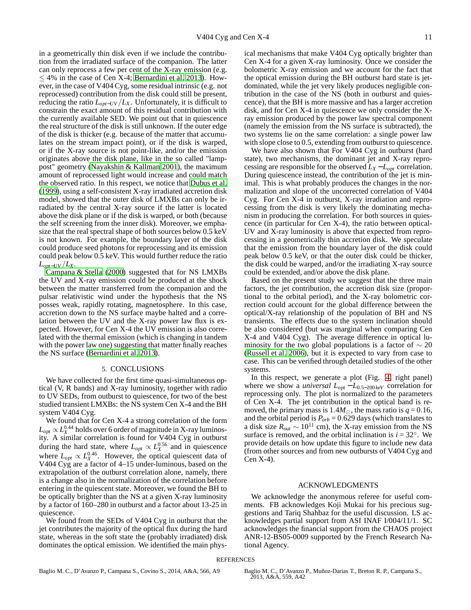in a geometrically thin disk even if we include the contribution from the irradiated surface of the companion. The latter can only reprocess a few per cent of the X-ray emission (e.g.  $\leq$  4% in the case of Cen X-4; [Bernardini et al. 2013](#page-13-10)). However, in the case of V404 Cyg, some residual intrinsic (e.g. not reprocessed) contribution from the disk could still be present, reducing the ratio  $L_{opt-UV}/L_X$ . Unfortunately, it is difficult to constrain the exact amount of this residual contribution with the currently available SED. We point out that in quiescence the real structure of the disk is still unknown. If the outer edge of the disk is thicker (e.g. because of the matter that accumulates on the stream impact point), or if the disk is warped, or if the X-ray source is not point-like, and/or the emission originates above the disk plane, like in the so called "lamppost" geometry [\(Nayakshin & Kallman 2001\)](#page-13-97), the maximum amount of reprocessed light would increase and could match the observed ratio. In this respect, we notice that [Dubus et al.](#page-13-98) [\(1999](#page-13-98)), using a self-consistent X-ray irradiated accretion disk model, showed that the outer disk of LMXBs can only be irradiated by the central X-ray source if the latter is located above the disk plane or if the disk is warped, or both (because the self screening from the inner disk). Moreover, we emphasize that the real spectral shape of both sources below 0.5 keV is not known. For example, the boundary layer of the disk could produce seed photons for reprocessing and its emission could peak below 0.5 keV. This would further reduce the ratio *Lopt*−*UV* /*LX*.

[Campana & Stella \(2000](#page-13-8)) suggested that for NS LMXBs the UV and X-ray emission could be produced at the shock between the matter transferred from the companion and the pulsar relativistic wind under the hypothesis that the NS posses weak, rapidly rotating, magnetosphere. In this case, accretion down to the NS surface maybe halted and a correlation between the UV and the X-ray power law flux is expected. However, for Cen X-4 the UV emission is also correlated with the thermal emission (which is changing in tandem with the power law one) suggesting that matter finally reaches the NS surface [\(Bernardini et al. 2013\)](#page-13-10).

# 5. CONCLUSIONS

We have collected for the first time quasi-simultaneous optical (V, R bands) and X-ray luminosity, together with radio to UV SEDs, from outburst to quiescence, for two of the best studied transient LMXBs: the NS system Cen X-4 and the BH system V404 Cyg.

We found that for Cen X-4 a strong correlation of the form  $L_{opt} \propto L_{X}^{0.44}$  holds over 6 order of magnitude in X-ray luminosity. A similar correlation is found for V404 Cyg in outburst during the hard state, where  $L_{opt} \propto L_X^{0.56}$  and in quiescence where  $L_{opt} \propto L_X^{0.46}$ . However, the optical quiescent data of V404 Cyg are a factor of 4–15 under-luminous, based on the extrapolation of the outburst correlation alone, namely, there is a change also in the normalization of the correlation before entering in the quiescent state. Moreover, we found the BH to be optically brighter than the NS at a given X-ray luminosity by a factor of 160–280 in outburst and a factor about 13-25 in quiescence.

We found from the SEDs of V404 Cyg in outburst that the jet contributes the majority of the optical flux during the hard state, whereas in the soft state the (probably irradiated) disk dominates the optical emission. We identified the main physical mechanisms that make V404 Cyg optically brighter than Cen X-4 for a given X-ray luminosity. Once we consider the bolometric X-ray emission and we account for the fact that the optical emission during the BH outburst hard state is jetdominated, while the jet very likely produces negligible contribution in the case of the NS (both in outburst and quiescence), that the BH is more massive and has a larger accretion disk, and for Cen X-4 in quiescence we only consider the Xray emission produced by the power law spectral component (namely the emission from the NS surface is subtracted), the two systems lie on the same correlation: a single power law with slope close to 0.5, extending from outburst to quiescence.

We have also shown that For V404 Cyg in outburst (hard state), two mechanisms, the dominant jet and X-ray reprocessing are responsible for the observed  $L_X - L_{opt}$  correlation. During quiescence instead, the contribution of the jet is minimal. This is what probably produces the changes in the normalization and slope of the uncorrected correlation of V404 Cyg. For Cen X-4 in outburst, X-ray irradiation and reprocessing from the disk is very likely the dominating mechanism in producing the correlation. For both sources in quiescence (in particular for Cen X-4), the ratio between optical-UV and X-ray luminosity is above that expected from reprocessing in a geometrically thin accretion disk. We speculate that the emission from the boundary layer of the disk could peak below 0.5 keV, or that the outer disk could be thicker, the disk could be warped, and/or the irradiating X-ray source could be extended, and/or above the disk plane.

Based on the present study we suggest that the three main factors, the jet contribution, the accretion disk size (proportional to the orbital period), and the X-ray bolometric correction could account for the global difference between the optical/X-ray relationship of the population of BH and NS transients. The effects due to the system inclination should be also considered (but was marginal when comparing Cen X-4 and V404 Cyg). The average difference in optical luminosity for the two global populations is a factor of  $\sim$  20 [\(Russell et al. 2006\)](#page-13-30), but it is expected to vary from case to case. This can be verified through detailed studies of the other systems.

In this respect, we generate a plot (Fig. [4,](#page-11-0) right panel) where we show a *universal Lopt* − *L*<sup>0</sup>.5−<sup>200</sup> *keV* correlation for reprocessing only. The plot is normalized to the parameters of Cen X-4. The jet contribution in the optical band is removed, the primary mass is  $1.4M_{\odot}$ , the mass ratio is  $q = 0.16$ , and the orbital period is  $P_{orb} = 0.629$  days (which translates to a disk size  $R_{out} \sim 10^{11}$  cm), the X-ray emission from the NS surface is removed, and the orbital inclination is  $i = 32^\circ$ . We provide details on how update this figure to include new data (from other sources and from new outbursts of V404 Cyg and Cen X-4).

#### ACKNOWLEDGMENTS

We acknowledge the anonymous referee for useful comments. FB acknowledges Koji Mukai for his precious suggestions and Tariq Shahbaz for the useful discussion. LS acknowledges partial support from ASI INAF I/004/11/1. SC acknowledges the financial support from the CHAOS project ANR-12-BS05-0009 supported by the French Research National Agency.

#### <span id="page-12-0"></span>**REFERENCES**

<span id="page-12-1"></span>

Baglio M. C., D'Avanzo P., Campana S., Covino S., 2014, A&A, 566, A9 Baglio M. C., D'Avanzo P., Muñoz-Darias T., Breton R. P., Campana S., 2013, A&A, 559, A42